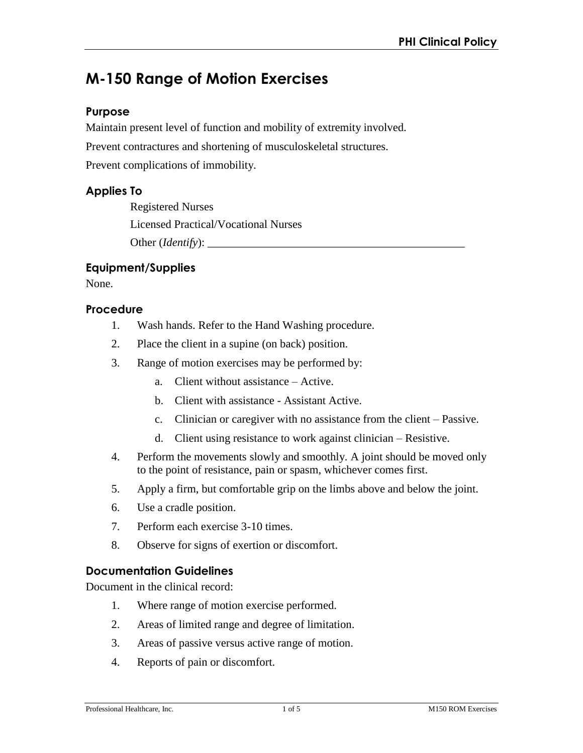# **M-150 Range of Motion Exercises**

#### **Purpose**

Maintain present level of function and mobility of extremity involved.

Prevent contractures and shortening of musculoskeletal structures.

Prevent complications of immobility.

#### **Applies To**

Registered Nurses Licensed Practical/Vocational Nurses Other (*Identify*): \_\_\_\_\_\_\_\_\_\_\_\_\_\_\_\_\_\_\_\_\_\_\_\_\_\_\_\_\_\_\_\_\_\_\_\_\_\_\_\_\_\_\_\_\_

#### **Equipment/Supplies**

None.

#### **Procedure**

- 1. Wash hands. Refer to the Hand Washing procedure.
- 2. Place the client in a supine (on back) position.
- 3. Range of motion exercises may be performed by:
	- a. Client without assistance Active.
	- b. Client with assistance Assistant Active.
	- c. Clinician or caregiver with no assistance from the client Passive.
	- d. Client using resistance to work against clinician Resistive.
- 4. Perform the movements slowly and smoothly. A joint should be moved only to the point of resistance, pain or spasm, whichever comes first.
- 5. Apply a firm, but comfortable grip on the limbs above and below the joint.
- 6. Use a cradle position.
- 7. Perform each exercise 3-10 times.
- 8. Observe for signs of exertion or discomfort.

### **Documentation Guidelines**

Document in the clinical record:

- 1. Where range of motion exercise performed.
- 2. Areas of limited range and degree of limitation.
- 3. Areas of passive versus active range of motion.
- 4. Reports of pain or discomfort.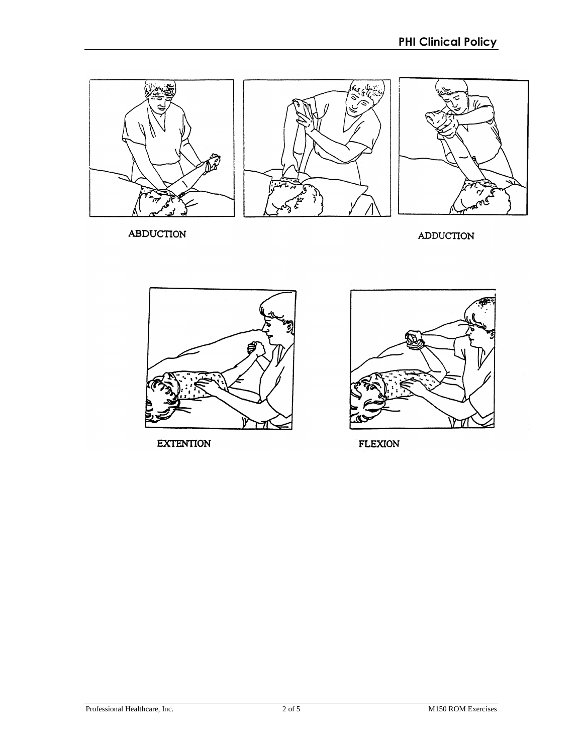

ABDUCTION

**ADDUCTION** 



**EXTENTION** 



FLEXION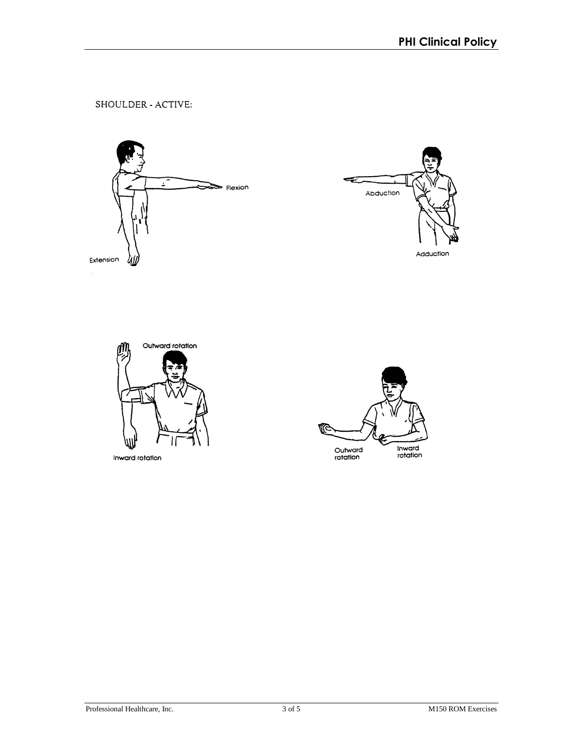SHOULDER - ACTIVE:







Inward rotation

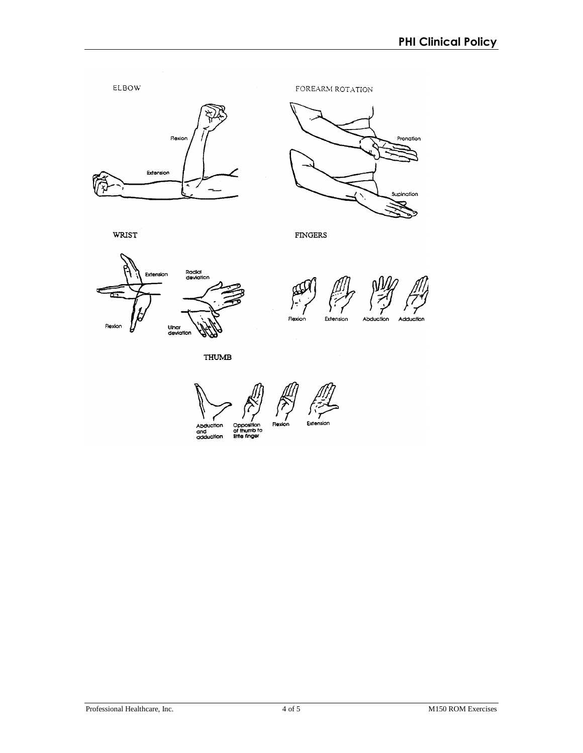



WRIST

**FINGERS** 



Extension Flexion

**THUMB** 

Abduction<br>and<br>adduction Exte Opposition<br>of thumb to<br>liftle finger